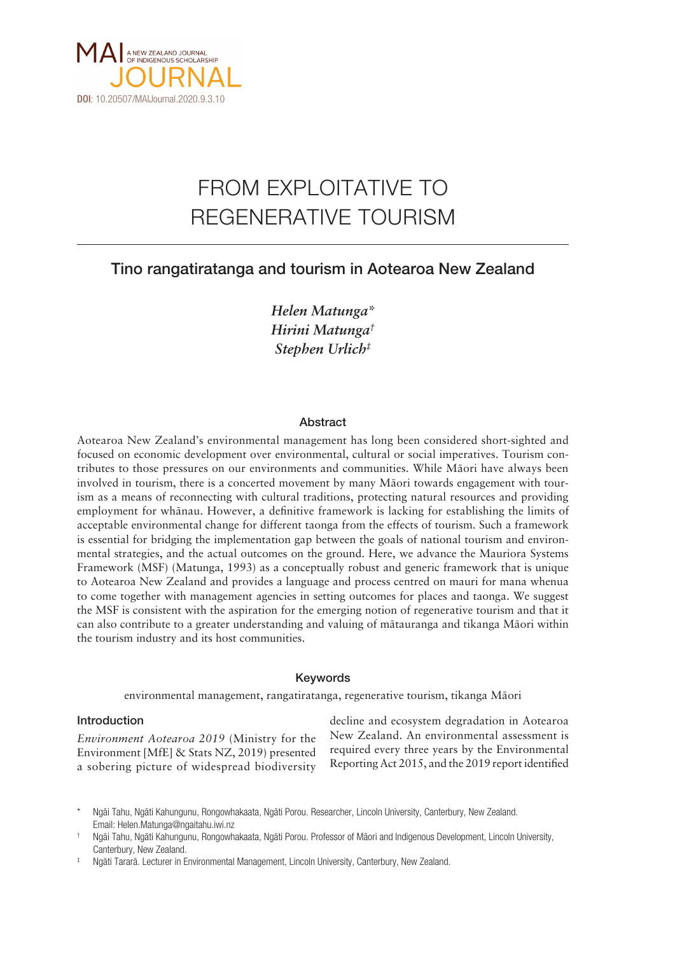

# FROM EXPLOITATIVE TO REGENERATIVE TOURISM

# Tino rangatiratanga and tourism in Aotearoa New Zealand

*Helen Matunga\* Hirini Matunga† Stephen Urlich‡*

# Abstract

Aotearoa New Zealand's environmental management has long been considered short-sighted and focused on economic development over environmental, cultural or social imperatives. Tourism contributes to those pressures on our environments and communities. While Mäori have always been involved in tourism, there is a concerted movement by many Mäori towards engagement with tourism as a means of reconnecting with cultural traditions, protecting natural resources and providing employment for whänau. However, a definitive framework is lacking for establishing the limits of acceptable environmental change for different taonga from the effects of tourism. Such a framework is essential for bridging the implementation gap between the goals of national tourism and environmental strategies, and the actual outcomes on the ground. Here, we advance the Mauriora Systems Framework (MSF) (Matunga, 1993) as a conceptually robust and generic framework that is unique to Aotearoa New Zealand and provides a language and process centred on mauri for mana whenua to come together with management agencies in setting outcomes for places and taonga. We suggest the MSF is consistent with the aspiration for the emerging notion of regenerative tourism and that it can also contribute to a greater understanding and valuing of mätauranga and tikanga Mäori within the tourism industry and its host communities.

# Keywords

environmental management, rangatiratanga, regenerative tourism, tikanga Mäori

# Introduction

*Environment Aotearoa 2019* (Ministry for the Environment [MfE] & Stats NZ, 2019) presented a sobering picture of widespread biodiversity decline and ecosystem degradation in Aotearoa New Zealand. An environmental assessment is required every three years by the Environmental Reporting Act 2015, and the 2019 report identified

Ngāi Tahu, Ngāti Kahungunu, Rongowhakaata, Ngāti Porou. Researcher, Lincoln University, Canterbury, New Zealand. Email: Helen.Matunga@ngaitahu.iwi.nz

<sup>†</sup> Ngäi Tahu, Ngäti Kahungunu, Rongowhakaata, Ngäti Porou. Professor of Mäori and Indigenous Development, Lincoln University, Canterbury, New Zealand.

<sup>‡</sup> Ngäti Tararä. Lecturer in Environmental Management, Lincoln University, Canterbury, New Zealand.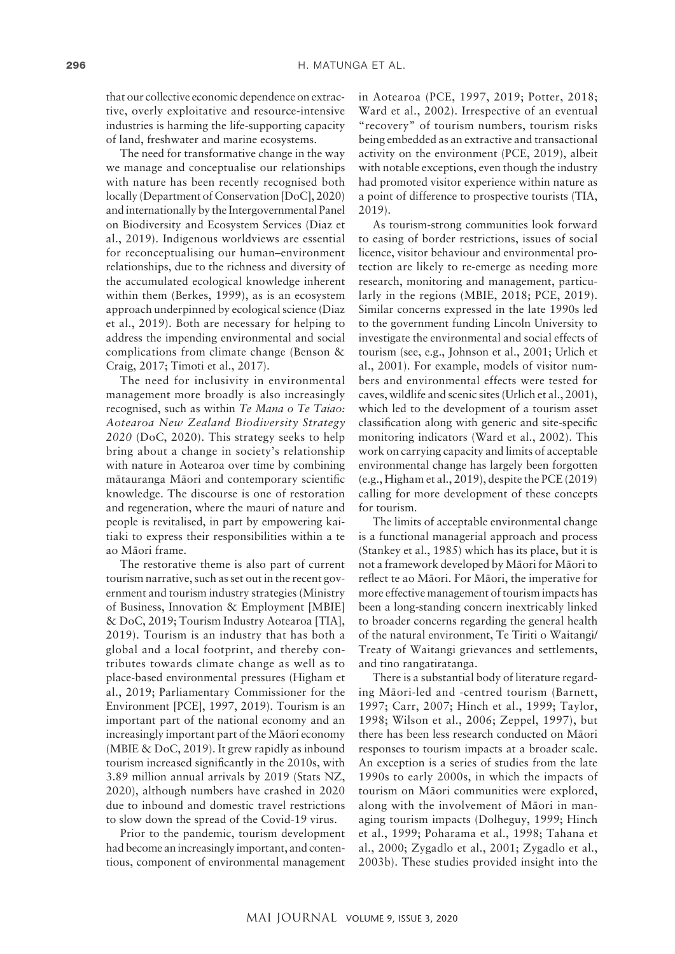that our collective economic dependence on extractive, overly exploitative and resource-intensive industries is harming the life-supporting capacity of land, freshwater and marine ecosystems.

The need for transformative change in the way we manage and conceptualise our relationships with nature has been recently recognised both locally (Department of Conservation [DoC], 2020) and internationally by the Intergovernmental Panel on Biodiversity and Ecosystem Services (Diaz et al., 2019). Indigenous worldviews are essential for reconceptualising our human–environment relationships, due to the richness and diversity of the accumulated ecological knowledge inherent within them (Berkes, 1999), as is an ecosystem approach underpinned by ecological science (Diaz et al., 2019). Both are necessary for helping to address the impending environmental and social complications from climate change (Benson & Craig, 2017; Timoti et al., 2017).

The need for inclusivity in environmental management more broadly is also increasingly recognised, such as within *Te Mana o Te Taiao: Aotearoa New Zealand Biodiversity Strategy 2020* (DoC, 2020). This strategy seeks to help bring about a change in society's relationship with nature in Aotearoa over time by combining mätauranga Mäori and contemporary scientific knowledge. The discourse is one of restoration and regeneration, where the mauri of nature and people is revitalised, in part by empowering kaitiaki to express their responsibilities within a te ao Mäori frame.

The restorative theme is also part of current tourism narrative, such as set out in the recent government and tourism industry strategies (Ministry of Business, Innovation & Employment [MBIE] & DoC, 2019; Tourism Industry Aotearoa [TIA], 2019). Tourism is an industry that has both a global and a local footprint, and thereby contributes towards climate change as well as to place-based environmental pressures (Higham et al., 2019; Parliamentary Commissioner for the Environment [PCE], 1997, 2019). Tourism is an important part of the national economy and an increasingly important part of the Mäori economy (MBIE & DoC, 2019). It grew rapidly as inbound tourism increased significantly in the 2010s, with 3.89 million annual arrivals by 2019 (Stats NZ, 2020), although numbers have crashed in 2020 due to inbound and domestic travel restrictions to slow down the spread of the Covid-19 virus.

Prior to the pandemic, tourism development had become an increasingly important, and contentious, component of environmental management

in Aotearoa (PCE, 1997, 2019; Potter, 2018; Ward et al., 2002). Irrespective of an eventual "recovery" of tourism numbers, tourism risks being embedded as an extractive and transactional activity on the environment (PCE, 2019), albeit with notable exceptions, even though the industry had promoted visitor experience within nature as a point of difference to prospective tourists (TIA, 2019).

As tourism-strong communities look forward to easing of border restrictions, issues of social licence, visitor behaviour and environmental protection are likely to re-emerge as needing more research, monitoring and management, particularly in the regions (MBIE, 2018; PCE, 2019). Similar concerns expressed in the late 1990s led to the government funding Lincoln University to investigate the environmental and social effects of tourism (see, e.g., Johnson et al., 2001; Urlich et al., 2001). For example, models of visitor numbers and environmental effects were tested for caves, wildlife and scenic sites (Urlich et al., 2001), which led to the development of a tourism asset classification along with generic and site-specific monitoring indicators (Ward et al., 2002). This work on carrying capacity and limits of acceptable environmental change has largely been forgotten (e.g., Higham et al., 2019), despite the PCE (2019) calling for more development of these concepts for tourism.

The limits of acceptable environmental change is a functional managerial approach and process (Stankey et al., 1985) which has its place, but it is not a framework developed by Mäori for Mäori to reflect te ao Mäori. For Mäori, the imperative for more effective management of tourism impacts has been a long-standing concern inextricably linked to broader concerns regarding the general health of the natural environment, Te Tiriti o Waitangi/ Treaty of Waitangi grievances and settlements, and tino rangatiratanga.

There is a substantial body of literature regarding Mäori-led and -centred tourism (Barnett, 1997; Carr, 2007; Hinch et al., 1999; Taylor, 1998; Wilson et al., 2006; Zeppel, 1997), but there has been less research conducted on Mäori responses to tourism impacts at a broader scale. An exception is a series of studies from the late 1990s to early 2000s, in which the impacts of tourism on Mäori communities were explored, along with the involvement of Mäori in managing tourism impacts (Dolheguy, 1999; Hinch et al., 1999; Poharama et al., 1998; Tahana et al., 2000; Zygadlo et al., 2001; Zygadlo et al., 2003b). These studies provided insight into the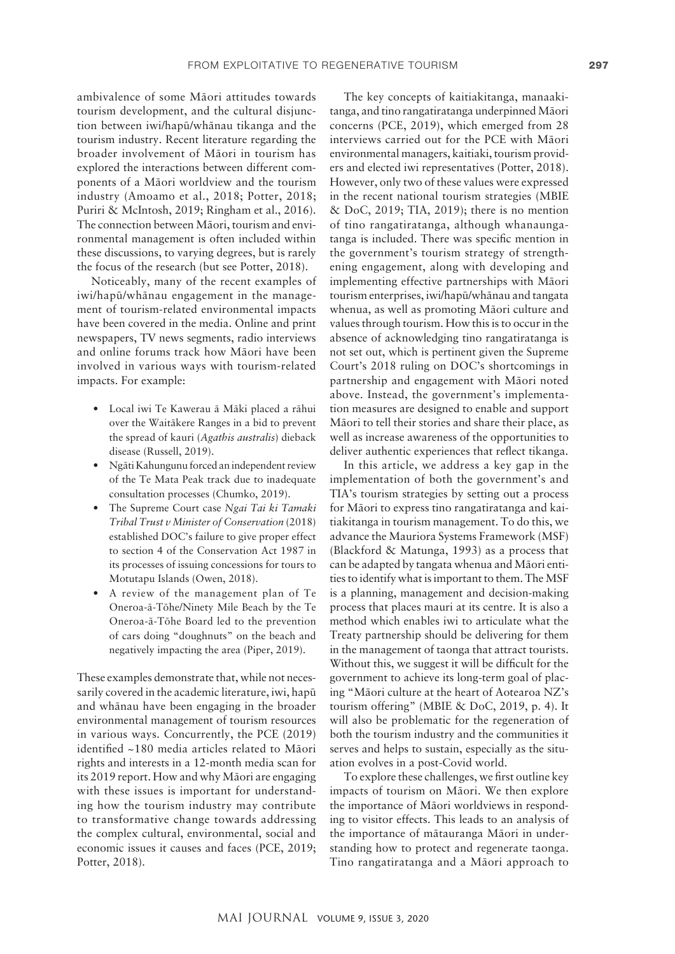ambivalence of some Mäori attitudes towards tourism development, and the cultural disjunction between iwi/hapü/whänau tikanga and the tourism industry. Recent literature regarding the broader involvement of Mäori in tourism has explored the interactions between different components of a Mäori worldview and the tourism industry (Amoamo et al., 2018; Potter, 2018; Puriri & McIntosh, 2019; Ringham et al., 2016). The connection between Mäori, tourism and environmental management is often included within these discussions, to varying degrees, but is rarely the focus of the research (but see Potter, 2018).

Noticeably, many of the recent examples of iwi/hapü/whänau engagement in the management of tourism-related environmental impacts have been covered in the media. Online and print newspapers, TV news segments, radio interviews and online forums track how Mäori have been involved in various ways with tourism-related impacts. For example:

- Local iwi Te Kawerau ä Mäki placed a rähui over the Waitäkere Ranges in a bid to prevent the spread of kauri (*Agathis australis*) dieback disease (Russell, 2019).
- Ngäti Kahungunu forced an independent review of the Te Mata Peak track due to inadequate consultation processes (Chumko, 2019).
- The Supreme Court case *Ngai Tai ki Tamaki Tribal Trust v Minister of Conservation* (2018) established DOC's failure to give proper effect to section 4 of the Conservation Act 1987 in its processes of issuing concessions for tours to Motutapu Islands (Owen, 2018).
- A review of the management plan of Te Oneroa-ä-Töhe/Ninety Mile Beach by the Te Oneroa-ä-Töhe Board led to the prevention of cars doing "doughnuts" on the beach and negatively impacting the area (Piper, 2019).

These examples demonstrate that, while not necessarily covered in the academic literature, iwi, hapü and whänau have been engaging in the broader environmental management of tourism resources in various ways. Concurrently, the PCE (2019) identified ~180 media articles related to Mäori rights and interests in a 12-month media scan for its 2019 report. How and why Mäori are engaging with these issues is important for understanding how the tourism industry may contribute to transformative change towards addressing the complex cultural, environmental, social and economic issues it causes and faces (PCE, 2019; Potter, 2018).

The key concepts of kaitiakitanga, manaakitanga, and tino rangatiratanga underpinned Mäori concerns (PCE, 2019), which emerged from 28 interviews carried out for the PCE with Mäori environmental managers, kaitiaki, tourism providers and elected iwi representatives (Potter, 2018). However, only two of these values were expressed in the recent national tourism strategies (MBIE & DoC, 2019; TIA, 2019); there is no mention of tino rangatiratanga, although whanaungatanga is included. There was specific mention in the government's tourism strategy of strengthening engagement, along with developing and implementing effective partnerships with Mäori tourism enterprises, iwi/hapü/whänau and tangata whenua, as well as promoting Mäori culture and values through tourism. How this is to occur in the absence of acknowledging tino rangatiratanga is not set out, which is pertinent given the Supreme Court's 2018 ruling on DOC's shortcomings in partnership and engagement with Mäori noted above. Instead, the government's implementation measures are designed to enable and support Mäori to tell their stories and share their place, as well as increase awareness of the opportunities to deliver authentic experiences that reflect tikanga.

In this article, we address a key gap in the implementation of both the government's and TIA's tourism strategies by setting out a process for Mäori to express tino rangatiratanga and kaitiakitanga in tourism management. To do this, we advance the Mauriora Systems Framework (MSF) (Blackford & Matunga, 1993) as a process that can be adapted by tangata whenua and Mäori entities to identify what is important to them. The MSF is a planning, management and decision-making process that places mauri at its centre. It is also a method which enables iwi to articulate what the Treaty partnership should be delivering for them in the management of taonga that attract tourists. Without this, we suggest it will be difficult for the government to achieve its long-term goal of placing "Mäori culture at the heart of Aotearoa NZ's tourism offering" (MBIE & DoC, 2019, p. 4). It will also be problematic for the regeneration of both the tourism industry and the communities it serves and helps to sustain, especially as the situation evolves in a post-Covid world.

To explore these challenges, we first outline key impacts of tourism on Mäori. We then explore the importance of Mäori worldviews in responding to visitor effects. This leads to an analysis of the importance of mätauranga Mäori in understanding how to protect and regenerate taonga. Tino rangatiratanga and a Mäori approach to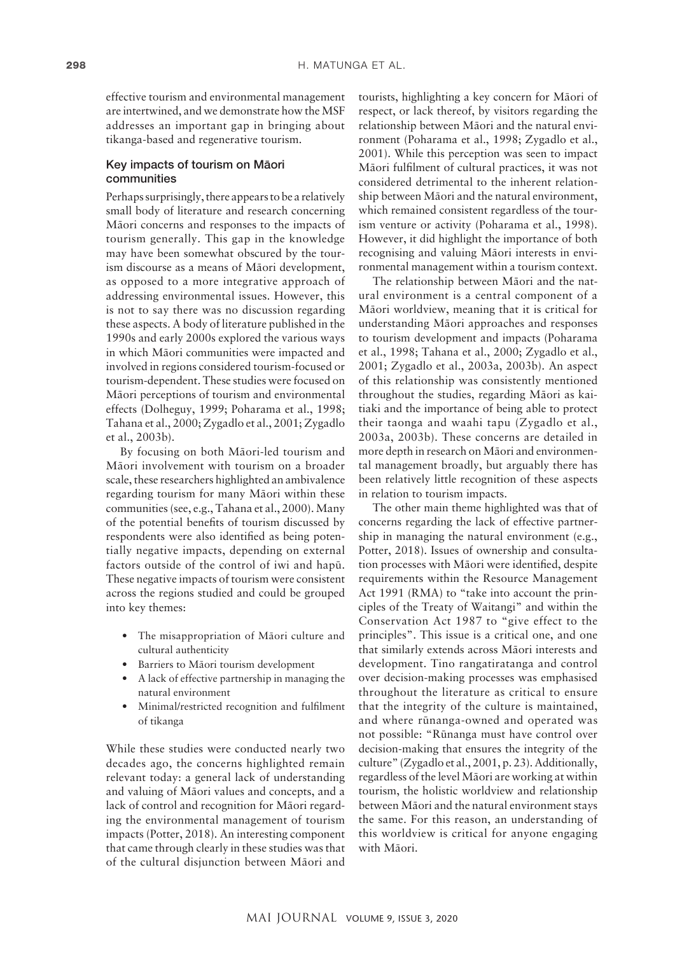effective tourism and environmental management are intertwined, and we demonstrate how the MSF addresses an important gap in bringing about tikanga-based and regenerative tourism.

## Key impacts of tourism on Mäori communities

Perhaps surprisingly, there appears to be a relatively small body of literature and research concerning Mäori concerns and responses to the impacts of tourism generally. This gap in the knowledge may have been somewhat obscured by the tourism discourse as a means of Mäori development, as opposed to a more integrative approach of addressing environmental issues. However, this is not to say there was no discussion regarding these aspects. A body of literature published in the 1990s and early 2000s explored the various ways in which Mäori communities were impacted and involved in regions considered tourism-focused or tourism-dependent. These studies were focused on Mäori perceptions of tourism and environmental effects (Dolheguy, 1999; Poharama et al., 1998; Tahana et al., 2000; Zygadlo et al., 2001; Zygadlo et al., 2003b).

By focusing on both Mäori-led tourism and Mäori involvement with tourism on a broader scale, these researchers highlighted an ambivalence regarding tourism for many Mäori within these communities (see, e.g., Tahana et al., 2000). Many of the potential benefits of tourism discussed by respondents were also identified as being potentially negative impacts, depending on external factors outside of the control of iwi and hapü. These negative impacts of tourism were consistent across the regions studied and could be grouped into key themes:

- The misappropriation of Māori culture and cultural authenticity
- Barriers to Mäori tourism development
- A lack of effective partnership in managing the natural environment
- Minimal/restricted recognition and fulfilment of tikanga

While these studies were conducted nearly two decades ago, the concerns highlighted remain relevant today: a general lack of understanding and valuing of Mäori values and concepts, and a lack of control and recognition for Mäori regarding the environmental management of tourism impacts (Potter, 2018). An interesting component that came through clearly in these studies was that of the cultural disjunction between Mäori and

tourists, highlighting a key concern for Mäori of respect, or lack thereof, by visitors regarding the relationship between Mäori and the natural environment (Poharama et al., 1998; Zygadlo et al., 2001). While this perception was seen to impact Mäori fulfilment of cultural practices, it was not considered detrimental to the inherent relationship between Mäori and the natural environment, which remained consistent regardless of the tourism venture or activity (Poharama et al., 1998). However, it did highlight the importance of both recognising and valuing Mäori interests in environmental management within a tourism context.

The relationship between Mäori and the natural environment is a central component of a Mäori worldview, meaning that it is critical for understanding Mäori approaches and responses to tourism development and impacts (Poharama et al., 1998; Tahana et al., 2000; Zygadlo et al., 2001; Zygadlo et al., 2003a, 2003b). An aspect of this relationship was consistently mentioned throughout the studies, regarding Mäori as kaitiaki and the importance of being able to protect their taonga and waahi tapu (Zygadlo et al., 2003a, 2003b). These concerns are detailed in more depth in research on Mäori and environmental management broadly, but arguably there has been relatively little recognition of these aspects in relation to tourism impacts.

The other main theme highlighted was that of concerns regarding the lack of effective partnership in managing the natural environment (e.g., Potter, 2018). Issues of ownership and consultation processes with Mäori were identified, despite requirements within the Resource Management Act 1991 (RMA) to "take into account the principles of the Treaty of Waitangi" and within the Conservation Act 1987 to "give effect to the principles". This issue is a critical one, and one that similarly extends across Mäori interests and development. Tino rangatiratanga and control over decision-making processes was emphasised throughout the literature as critical to ensure that the integrity of the culture is maintained, and where rünanga-owned and operated was not possible: "Rünanga must have control over decision-making that ensures the integrity of the culture" (Zygadlo et al., 2001, p. 23). Additionally, regardless of the level Mäori are working at within tourism, the holistic worldview and relationship between Mäori and the natural environment stays the same. For this reason, an understanding of this worldview is critical for anyone engaging with Mäori.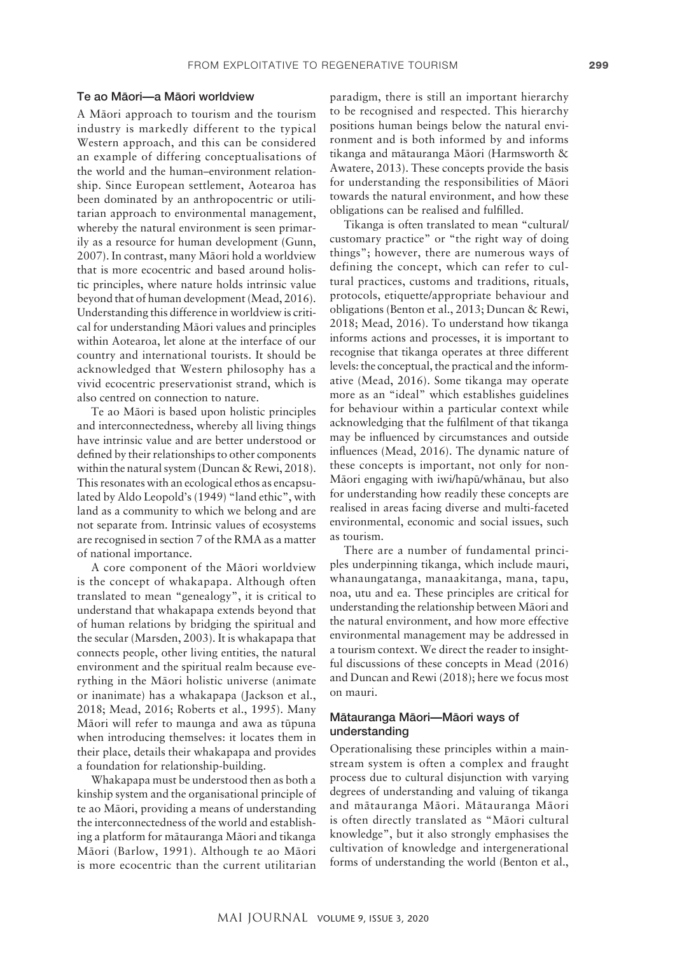#### Te ao Mäori—a Mäori worldview

A Mäori approach to tourism and the tourism industry is markedly different to the typical Western approach, and this can be considered an example of differing conceptualisations of the world and the human–environment relationship. Since European settlement, Aotearoa has been dominated by an anthropocentric or utilitarian approach to environmental management, whereby the natural environment is seen primarily as a resource for human development (Gunn, 2007). In contrast, many Mäori hold a worldview that is more ecocentric and based around holistic principles, where nature holds intrinsic value beyond that of human development (Mead, 2016). Understanding this difference in worldview is critical for understanding Mäori values and principles within Aotearoa, let alone at the interface of our country and international tourists. It should be acknowledged that Western philosophy has a vivid ecocentric preservationist strand, which is also centred on connection to nature.

Te ao Mäori is based upon holistic principles and interconnectedness, whereby all living things have intrinsic value and are better understood or defined by their relationships to other components within the natural system (Duncan & Rewi, 2018). This resonates with an ecological ethos as encapsulated by Aldo Leopold's (1949) "land ethic", with land as a community to which we belong and are not separate from. Intrinsic values of ecosystems are recognised in section 7 of the RMA as a matter of national importance.

A core component of the Mäori worldview is the concept of whakapapa. Although often translated to mean "genealogy", it is critical to understand that whakapapa extends beyond that of human relations by bridging the spiritual and the secular (Marsden, 2003). It is whakapapa that connects people, other living entities, the natural environment and the spiritual realm because everything in the Mäori holistic universe (animate or inanimate) has a whakapapa (Jackson et al., 2018; Mead, 2016; Roberts et al., 1995). Many Mäori will refer to maunga and awa as tüpuna when introducing themselves: it locates them in their place, details their whakapapa and provides a foundation for relationship-building.

Whakapapa must be understood then as both a kinship system and the organisational principle of te ao Mäori, providing a means of understanding the interconnectedness of the world and establishing a platform for mätauranga Mäori and tikanga Mäori (Barlow, 1991). Although te ao Mäori is more ecocentric than the current utilitarian paradigm, there is still an important hierarchy to be recognised and respected. This hierarchy positions human beings below the natural environment and is both informed by and informs tikanga and mätauranga Mäori (Harmsworth & Awatere, 2013). These concepts provide the basis for understanding the responsibilities of Mäori towards the natural environment, and how these obligations can be realised and fulfilled.

Tikanga is often translated to mean "cultural/ customary practice" or "the right way of doing things"; however, there are numerous ways of defining the concept, which can refer to cultural practices, customs and traditions, rituals, protocols, etiquette/appropriate behaviour and obligations (Benton et al., 2013; Duncan & Rewi, 2018; Mead, 2016). To understand how tikanga informs actions and processes, it is important to recognise that tikanga operates at three different levels: the conceptual, the practical and the informative (Mead, 2016). Some tikanga may operate more as an "ideal" which establishes guidelines for behaviour within a particular context while acknowledging that the fulfilment of that tikanga may be influenced by circumstances and outside influences (Mead, 2016). The dynamic nature of these concepts is important, not only for non-Mäori engaging with iwi/hapü/whänau, but also for understanding how readily these concepts are realised in areas facing diverse and multi-faceted environmental, economic and social issues, such as tourism.

There are a number of fundamental principles underpinning tikanga, which include mauri, whanaungatanga, manaakitanga, mana, tapu, noa, utu and ea. These principles are critical for understanding the relationship between Mäori and the natural environment, and how more effective environmental management may be addressed in a tourism context. We direct the reader to insightful discussions of these concepts in Mead (2016) and Duncan and Rewi (2018); here we focus most on mauri.

# Mätauranga Mäori—Mäori ways of understanding

Operationalising these principles within a mainstream system is often a complex and fraught process due to cultural disjunction with varying degrees of understanding and valuing of tikanga and mätauranga Mäori. Mätauranga Mäori is often directly translated as "Mäori cultural knowledge", but it also strongly emphasises the cultivation of knowledge and intergenerational forms of understanding the world (Benton et al.,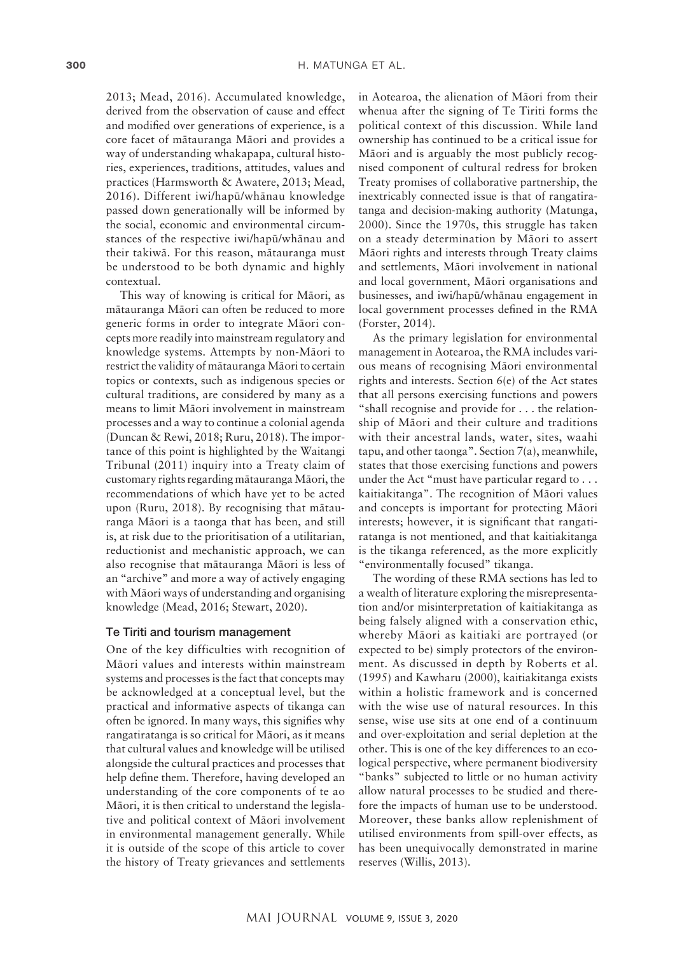2013; Mead, 2016). Accumulated knowledge, derived from the observation of cause and effect and modified over generations of experience, is a core facet of mätauranga Mäori and provides a way of understanding whakapapa, cultural histories, experiences, traditions, attitudes, values and practices (Harmsworth & Awatere, 2013; Mead, 2016). Different iwi/hapü/whänau knowledge passed down generationally will be informed by the social, economic and environmental circumstances of the respective iwi/hapü/whänau and their takiwä. For this reason, mätauranga must be understood to be both dynamic and highly contextual.

This way of knowing is critical for Mäori, as mätauranga Mäori can often be reduced to more generic forms in order to integrate Mäori concepts more readily into mainstream regulatory and knowledge systems. Attempts by non-Mäori to restrict the validity of mätauranga Mäori to certain topics or contexts, such as indigenous species or cultural traditions, are considered by many as a means to limit Mäori involvement in mainstream processes and a way to continue a colonial agenda (Duncan & Rewi, 2018; Ruru, 2018). The importance of this point is highlighted by the Waitangi Tribunal (2011) inquiry into a Treaty claim of customary rights regarding mätauranga Mäori, the recommendations of which have yet to be acted upon (Ruru, 2018). By recognising that mätauranga Mäori is a taonga that has been, and still is, at risk due to the prioritisation of a utilitarian, reductionist and mechanistic approach, we can also recognise that mätauranga Mäori is less of an "archive" and more a way of actively engaging with Mäori ways of understanding and organising knowledge (Mead, 2016; Stewart, 2020).

#### Te Tiriti and tourism management

One of the key difficulties with recognition of Mäori values and interests within mainstream systems and processes is the fact that concepts may be acknowledged at a conceptual level, but the practical and informative aspects of tikanga can often be ignored. In many ways, this signifies why rangatiratanga is so critical for Mäori, as it means that cultural values and knowledge will be utilised alongside the cultural practices and processes that help define them. Therefore, having developed an understanding of the core components of te ao Mäori, it is then critical to understand the legislative and political context of Mäori involvement in environmental management generally. While it is outside of the scope of this article to cover the history of Treaty grievances and settlements

in Aotearoa, the alienation of Mäori from their whenua after the signing of Te Tiriti forms the political context of this discussion. While land ownership has continued to be a critical issue for Mäori and is arguably the most publicly recognised component of cultural redress for broken Treaty promises of collaborative partnership, the inextricably connected issue is that of rangatiratanga and decision-making authority (Matunga, 2000). Since the 1970s, this struggle has taken on a steady determination by Mäori to assert Mäori rights and interests through Treaty claims and settlements, Mäori involvement in national and local government, Mäori organisations and businesses, and iwi/hapü/whänau engagement in local government processes defined in the RMA (Forster, 2014).

As the primary legislation for environmental management in Aotearoa, the RMA includes various means of recognising Mäori environmental rights and interests. Section 6(e) of the Act states that all persons exercising functions and powers "shall recognise and provide for . . . the relationship of Mäori and their culture and traditions with their ancestral lands, water, sites, waahi tapu, and other taonga". Section 7(a), meanwhile, states that those exercising functions and powers under the Act "must have particular regard to . . . kaitiakitanga". The recognition of Mäori values and concepts is important for protecting Mäori interests; however, it is significant that rangatiratanga is not mentioned, and that kaitiakitanga is the tikanga referenced, as the more explicitly "environmentally focused" tikanga.

The wording of these RMA sections has led to a wealth of literature exploring the misrepresentation and/or misinterpretation of kaitiakitanga as being falsely aligned with a conservation ethic, whereby Mäori as kaitiaki are portrayed (or expected to be) simply protectors of the environment. As discussed in depth by Roberts et al. (1995) and Kawharu (2000), kaitiakitanga exists within a holistic framework and is concerned with the wise use of natural resources. In this sense, wise use sits at one end of a continuum and over-exploitation and serial depletion at the other. This is one of the key differences to an ecological perspective, where permanent biodiversity "banks" subjected to little or no human activity allow natural processes to be studied and therefore the impacts of human use to be understood. Moreover, these banks allow replenishment of utilised environments from spill-over effects, as has been unequivocally demonstrated in marine reserves (Willis, 2013).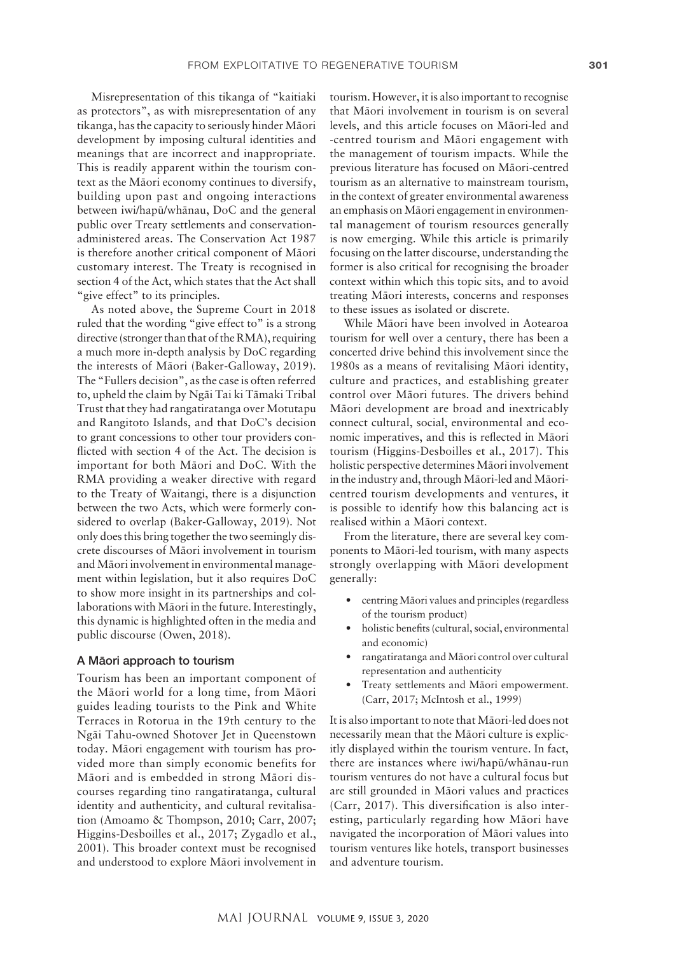Misrepresentation of this tikanga of "kaitiaki as protectors", as with misrepresentation of any tikanga, has the capacity to seriously hinder Mäori development by imposing cultural identities and meanings that are incorrect and inappropriate. This is readily apparent within the tourism context as the Mäori economy continues to diversify, building upon past and ongoing interactions between iwi/hapü/whänau, DoC and the general public over Treaty settlements and conservationadministered areas. The Conservation Act 1987 is therefore another critical component of Mäori customary interest. The Treaty is recognised in section 4 of the Act, which states that the Act shall "give effect" to its principles.

As noted above, the Supreme Court in 2018 ruled that the wording "give effect to" is a strong directive (stronger than that of the RMA), requiring a much more in-depth analysis by DoC regarding the interests of Mäori (Baker-Galloway, 2019). The "Fullers decision", as the case is often referred to, upheld the claim by Ngäi Tai ki Tämaki Tribal Trust that they had rangatiratanga over Motutapu and Rangitoto Islands, and that DoC's decision to grant concessions to other tour providers conflicted with section 4 of the Act. The decision is important for both Mäori and DoC. With the RMA providing a weaker directive with regard to the Treaty of Waitangi, there is a disjunction between the two Acts, which were formerly considered to overlap (Baker-Galloway, 2019). Not only does this bring together the two seemingly discrete discourses of Mäori involvement in tourism and Mäori involvement in environmental management within legislation, but it also requires DoC to show more insight in its partnerships and collaborations with Mäori in the future. Interestingly, this dynamic is highlighted often in the media and public discourse (Owen, 2018).

#### A Mäori approach to tourism

Tourism has been an important component of the Mäori world for a long time, from Mäori guides leading tourists to the Pink and White Terraces in Rotorua in the 19th century to the Ngäi Tahu-owned Shotover Jet in Queenstown today. Mäori engagement with tourism has provided more than simply economic benefits for Mäori and is embedded in strong Mäori discourses regarding tino rangatiratanga, cultural identity and authenticity, and cultural revitalisation (Amoamo & Thompson, 2010; Carr, 2007; Higgins-Desboilles et al., 2017; Zygadlo et al., 2001). This broader context must be recognised and understood to explore Mäori involvement in

tourism. However, it is also important to recognise that Mäori involvement in tourism is on several levels, and this article focuses on Mäori-led and -centred tourism and Mäori engagement with the management of tourism impacts. While the previous literature has focused on Mäori-centred tourism as an alternative to mainstream tourism, in the context of greater environmental awareness an emphasis on Mäori engagement in environmental management of tourism resources generally is now emerging. While this article is primarily focusing on the latter discourse, understanding the former is also critical for recognising the broader context within which this topic sits, and to avoid treating Mäori interests, concerns and responses to these issues as isolated or discrete.

While Mäori have been involved in Aotearoa tourism for well over a century, there has been a concerted drive behind this involvement since the 1980s as a means of revitalising Mäori identity, culture and practices, and establishing greater control over Mäori futures. The drivers behind Mäori development are broad and inextricably connect cultural, social, environmental and economic imperatives, and this is reflected in Mäori tourism (Higgins-Desboilles et al., 2017). This holistic perspective determines Mäori involvement in the industry and, through Mäori-led and Mäoricentred tourism developments and ventures, it is possible to identify how this balancing act is realised within a Mäori context.

From the literature, there are several key components to Mäori-led tourism, with many aspects strongly overlapping with Mäori development generally:

- centring Mäori values and principles (regardless of the tourism product)
- holistic benefits (cultural, social, environmental and economic)
- rangatiratanga and Mäori control over cultural representation and authenticity
- Treaty settlements and Mäori empowerment. (Carr, 2017; McIntosh et al., 1999)

It is also important to note that Mäori-led does not necessarily mean that the Mäori culture is explicitly displayed within the tourism venture. In fact, there are instances where iwi/hapü/whänau-run tourism ventures do not have a cultural focus but are still grounded in Mäori values and practices (Carr, 2017). This diversification is also interesting, particularly regarding how Mäori have navigated the incorporation of Mäori values into tourism ventures like hotels, transport businesses and adventure tourism.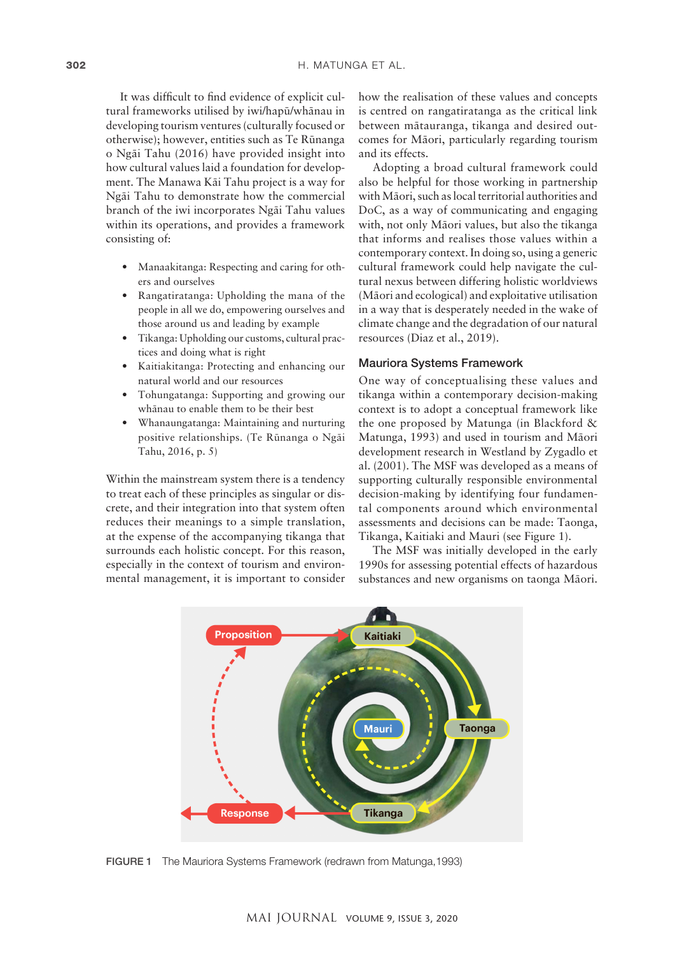It was difficult to find evidence of explicit cultural frameworks utilised by iwi/hapü/whänau in developing tourism ventures (culturally focused or otherwise); however, entities such as Te Rünanga o Ngäi Tahu (2016) have provided insight into how cultural values laid a foundation for development. The Manawa Käi Tahu project is a way for Ngäi Tahu to demonstrate how the commercial branch of the iwi incorporates Ngäi Tahu values within its operations, and provides a framework consisting of:

- Manaakitanga: Respecting and caring for others and ourselves
- Rangatiratanga: Upholding the mana of the people in all we do, empowering ourselves and those around us and leading by example
- Tikanga: Upholding our customs, cultural practices and doing what is right
- Kaitiakitanga: Protecting and enhancing our natural world and our resources
- Tohungatanga: Supporting and growing our whänau to enable them to be their best
- Whanaungatanga: Maintaining and nurturing positive relationships. (Te Rünanga o Ngäi Tahu, 2016, p. 5)

Within the mainstream system there is a tendency to treat each of these principles as singular or discrete, and their integration into that system often reduces their meanings to a simple translation, at the expense of the accompanying tikanga that surrounds each holistic concept. For this reason, especially in the context of tourism and environmental management, it is important to consider how the realisation of these values and concepts is centred on rangatiratanga as the critical link between mätauranga, tikanga and desired outcomes for Mäori, particularly regarding tourism and its effects.

Adopting a broad cultural framework could also be helpful for those working in partnership with Mäori, such as local territorial authorities and DoC, as a way of communicating and engaging with, not only Mäori values, but also the tikanga that informs and realises those values within a contemporary context. In doing so, using a generic cultural framework could help navigate the cultural nexus between differing holistic worldviews (Mäori and ecological) and exploitative utilisation in a way that is desperately needed in the wake of climate change and the degradation of our natural resources (Diaz et al., 2019).

#### Mauriora Systems Framework

One way of conceptualising these values and tikanga within a contemporary decision-making context is to adopt a conceptual framework like the one proposed by Matunga (in Blackford & Matunga, 1993) and used in tourism and Mäori development research in Westland by Zygadlo et al. (2001). The MSF was developed as a means of supporting culturally responsible environmental decision-making by identifying four fundamental components around which environmental assessments and decisions can be made: Taonga, Tikanga, Kaitiaki and Mauri (see Figure 1).

The MSF was initially developed in the early 1990s for assessing potential effects of hazardous substances and new organisms on taonga Mäori.



FIGURE 1 The Mauriora Systems Framework (redrawn from Matunga,1993)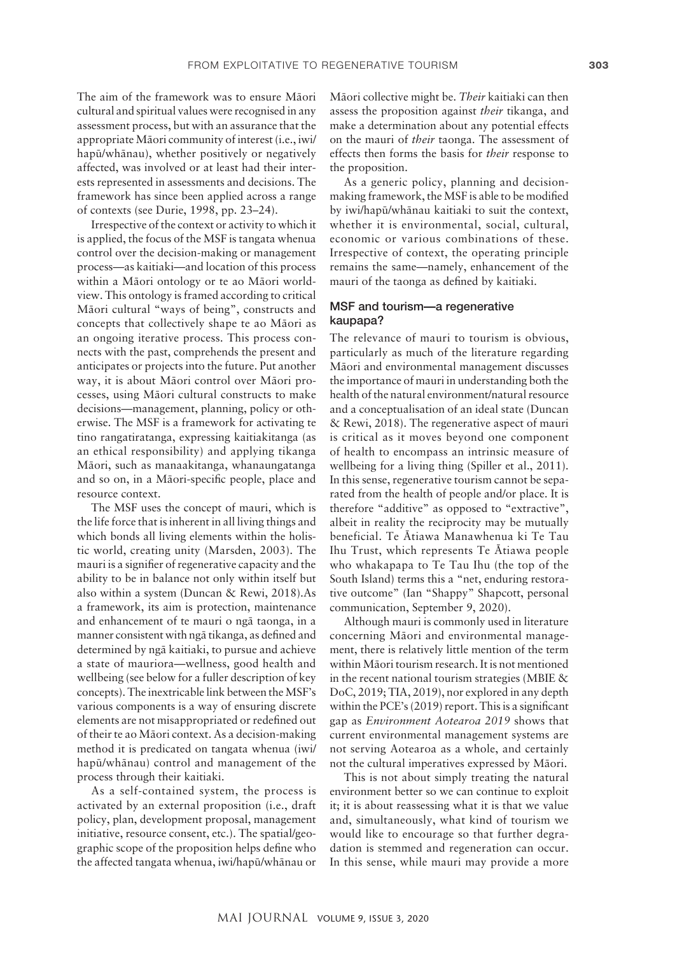The aim of the framework was to ensure Mäori cultural and spiritual values were recognised in any assessment process, but with an assurance that the appropriate Mäori community of interest (i.e., iwi/ hapü/whänau), whether positively or negatively affected, was involved or at least had their interests represented in assessments and decisions. The framework has since been applied across a range of contexts (see Durie, 1998, pp. 23–24).

Irrespective of the context or activity to which it is applied, the focus of the MSF is tangata whenua control over the decision-making or management process—as kaitiaki—and location of this process within a Mäori ontology or te ao Mäori worldview. This ontology is framed according to critical Mäori cultural "ways of being", constructs and concepts that collectively shape te ao Mäori as an ongoing iterative process. This process connects with the past, comprehends the present and anticipates or projects into the future. Put another way, it is about Mäori control over Mäori processes, using Mäori cultural constructs to make decisions—management, planning, policy or otherwise. The MSF is a framework for activating te tino rangatiratanga, expressing kaitiakitanga (as an ethical responsibility) and applying tikanga Mäori, such as manaakitanga, whanaungatanga and so on, in a Mäori-specific people, place and resource context.

The MSF uses the concept of mauri, which is the life force that is inherent in all living things and which bonds all living elements within the holistic world, creating unity (Marsden, 2003). The mauri is a signifier of regenerative capacity and the ability to be in balance not only within itself but also within a system (Duncan & Rewi, 2018).As a framework, its aim is protection, maintenance and enhancement of te mauri o ngä taonga, in a manner consistent with ngä tikanga, as defined and determined by ngä kaitiaki, to pursue and achieve a state of mauriora—wellness, good health and wellbeing (see below for a fuller description of key concepts). The inextricable link between the MSF's various components is a way of ensuring discrete elements are not misappropriated or redefined out of their te ao Mäori context. As a decision-making method it is predicated on tangata whenua (iwi/ hapü/whänau) control and management of the process through their kaitiaki.

As a self-contained system, the process is activated by an external proposition (i.e., draft policy, plan, development proposal, management initiative, resource consent, etc.). The spatial/geographic scope of the proposition helps define who the affected tangata whenua, iwi/hapü/whänau or

Mäori collective might be. *Their* kaitiaki can then assess the proposition against *their* tikanga, and make a determination about any potential effects on the mauri of *their* taonga. The assessment of effects then forms the basis for *their* response to the proposition.

As a generic policy, planning and decisionmaking framework, the MSF is able to be modified by iwi/hapü/whänau kaitiaki to suit the context, whether it is environmental, social, cultural, economic or various combinations of these. Irrespective of context, the operating principle remains the same—namely, enhancement of the mauri of the taonga as defined by kaitiaki.

# MSF and tourism—a regenerative kaupapa?

The relevance of mauri to tourism is obvious, particularly as much of the literature regarding Mäori and environmental management discusses the importance of mauri in understanding both the health of the natural environment/natural resource and a conceptualisation of an ideal state (Duncan & Rewi, 2018). The regenerative aspect of mauri is critical as it moves beyond one component of health to encompass an intrinsic measure of wellbeing for a living thing (Spiller et al., 2011). In this sense, regenerative tourism cannot be separated from the health of people and/or place. It is therefore "additive" as opposed to "extractive", albeit in reality the reciprocity may be mutually beneficial. Te Ätiawa Manawhenua ki Te Tau Ihu Trust, which represents Te Ätiawa people who whakapapa to Te Tau Ihu (the top of the South Island) terms this a "net, enduring restorative outcome" (Ian "Shappy" Shapcott, personal communication, September 9, 2020).

Although mauri is commonly used in literature concerning Mäori and environmental management, there is relatively little mention of the term within Mäori tourism research. It is not mentioned in the recent national tourism strategies (MBIE & DoC, 2019; TIA, 2019), nor explored in any depth within the PCE's (2019) report. This is a significant gap as *Environment Aotearoa 2019* shows that current environmental management systems are not serving Aotearoa as a whole, and certainly not the cultural imperatives expressed by Mäori.

This is not about simply treating the natural environment better so we can continue to exploit it; it is about reassessing what it is that we value and, simultaneously, what kind of tourism we would like to encourage so that further degradation is stemmed and regeneration can occur. In this sense, while mauri may provide a more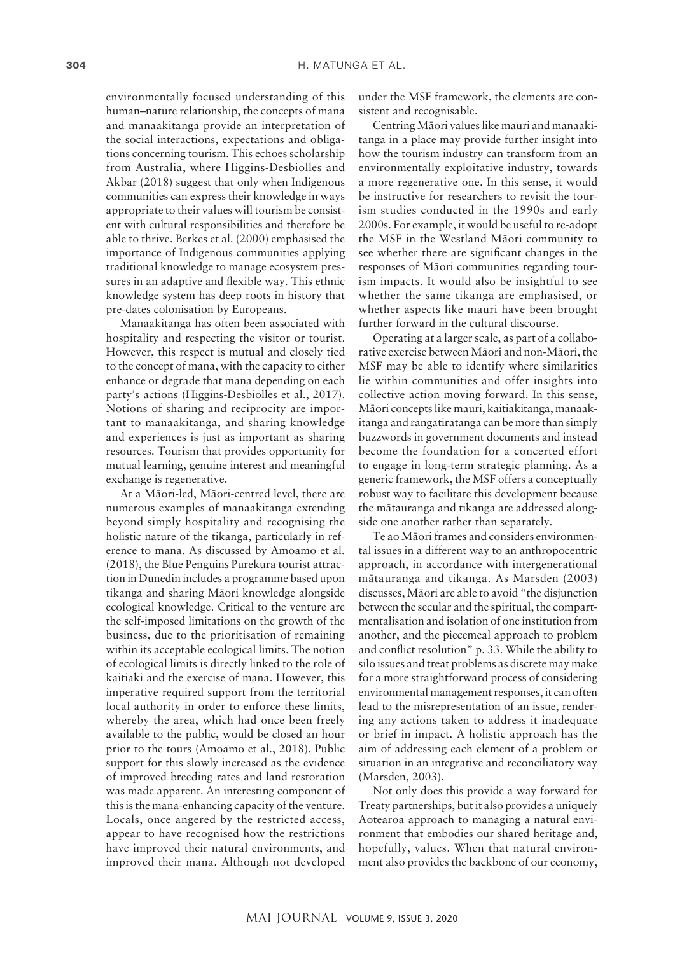environmentally focused understanding of this human–nature relationship, the concepts of mana and manaakitanga provide an interpretation of the social interactions, expectations and obligations concerning tourism. This echoes scholarship from Australia, where Higgins-Desbiolles and Akbar (2018) suggest that only when Indigenous communities can express their knowledge in ways appropriate to their values will tourism be consistent with cultural responsibilities and therefore be able to thrive. Berkes et al. (2000) emphasised the importance of Indigenous communities applying traditional knowledge to manage ecosystem pressures in an adaptive and flexible way. This ethnic knowledge system has deep roots in history that pre-dates colonisation by Europeans.

Manaakitanga has often been associated with hospitality and respecting the visitor or tourist. However, this respect is mutual and closely tied to the concept of mana, with the capacity to either enhance or degrade that mana depending on each party's actions (Higgins-Desbiolles et al., 2017). Notions of sharing and reciprocity are important to manaakitanga, and sharing knowledge and experiences is just as important as sharing resources. Tourism that provides opportunity for mutual learning, genuine interest and meaningful exchange is regenerative.

At a Mäori-led, Mäori-centred level, there are numerous examples of manaakitanga extending beyond simply hospitality and recognising the holistic nature of the tikanga, particularly in reference to mana. As discussed by Amoamo et al. (2018), the Blue Penguins Purekura tourist attraction in Dunedin includes a programme based upon tikanga and sharing Mäori knowledge alongside ecological knowledge. Critical to the venture are the self-imposed limitations on the growth of the business, due to the prioritisation of remaining within its acceptable ecological limits. The notion of ecological limits is directly linked to the role of kaitiaki and the exercise of mana. However, this imperative required support from the territorial local authority in order to enforce these limits, whereby the area, which had once been freely available to the public, would be closed an hour prior to the tours (Amoamo et al., 2018). Public support for this slowly increased as the evidence of improved breeding rates and land restoration was made apparent. An interesting component of this is the mana-enhancing capacity of the venture. Locals, once angered by the restricted access, appear to have recognised how the restrictions have improved their natural environments, and improved their mana. Although not developed

under the MSF framework, the elements are consistent and recognisable.

Centring Mäori values like mauri and manaakitanga in a place may provide further insight into how the tourism industry can transform from an environmentally exploitative industry, towards a more regenerative one. In this sense, it would be instructive for researchers to revisit the tourism studies conducted in the 1990s and early 2000s. For example, it would be useful to re-adopt the MSF in the Westland Mäori community to see whether there are significant changes in the responses of Mäori communities regarding tourism impacts. It would also be insightful to see whether the same tikanga are emphasised, or whether aspects like mauri have been brought further forward in the cultural discourse.

Operating at a larger scale, as part of a collaborative exercise between Mäori and non-Mäori, the MSF may be able to identify where similarities lie within communities and offer insights into collective action moving forward. In this sense, Mäori concepts like mauri, kaitiakitanga, manaakitanga and rangatiratanga can be more than simply buzzwords in government documents and instead become the foundation for a concerted effort to engage in long-term strategic planning. As a generic framework, the MSF offers a conceptually robust way to facilitate this development because the mätauranga and tikanga are addressed alongside one another rather than separately.

Te ao Mäori frames and considers environmental issues in a different way to an anthropocentric approach, in accordance with intergenerational mätauranga and tikanga. As Marsden (2003) discusses, Mäori are able to avoid "the disjunction between the secular and the spiritual, the compartmentalisation and isolation of one institution from another, and the piecemeal approach to problem and conflict resolution" p. 33. While the ability to silo issues and treat problems as discrete may make for a more straightforward process of considering environmental management responses, it can often lead to the misrepresentation of an issue, rendering any actions taken to address it inadequate or brief in impact. A holistic approach has the aim of addressing each element of a problem or situation in an integrative and reconciliatory way (Marsden, 2003).

Not only does this provide a way forward for Treaty partnerships, but it also provides a uniquely Aotearoa approach to managing a natural environment that embodies our shared heritage and, hopefully, values. When that natural environment also provides the backbone of our economy,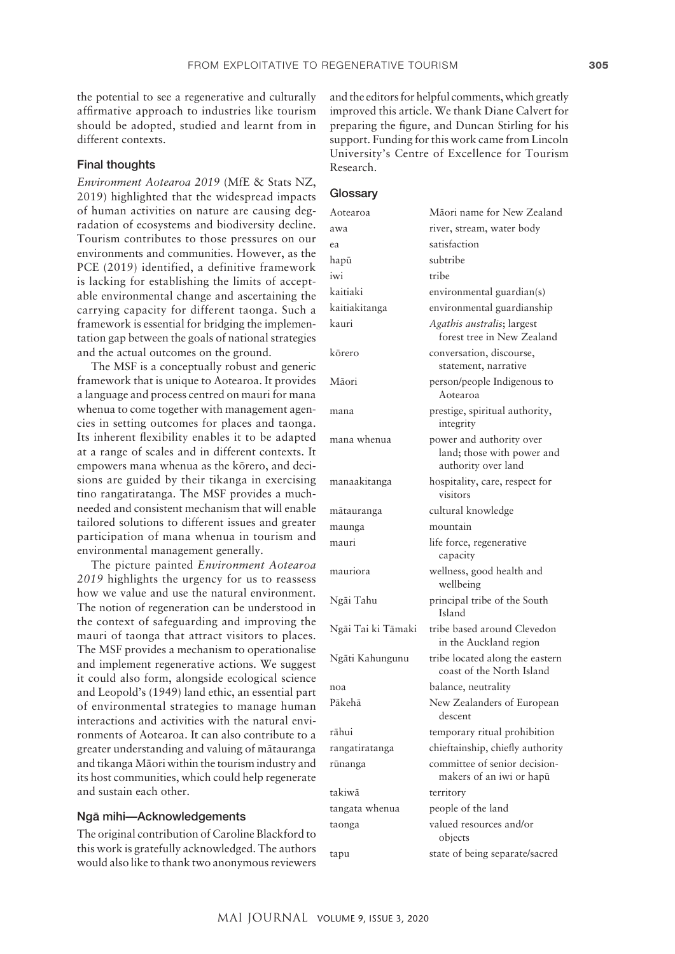the potential to see a regenerative and culturally affirmative approach to industries like tourism should be adopted, studied and learnt from in different contexts.

#### Final thoughts

*Environment Aotearoa 2019* (MfE & Stats NZ, 2019) highlighted that the widespread impacts of human activities on nature are causing degradation of ecosystems and biodiversity decline. Tourism contributes to those pressures on our environments and communities. However, as the PCE (2019) identified, a definitive framework is lacking for establishing the limits of acceptable environmental change and ascertaining the carrying capacity for different taonga. Such a framework is essential for bridging the implementation gap between the goals of national strategies and the actual outcomes on the ground.

The MSF is a conceptually robust and generic framework that is unique to Aotearoa. It provides a language and process centred on mauri for mana whenua to come together with management agencies in setting outcomes for places and taonga. Its inherent flexibility enables it to be adapted at a range of scales and in different contexts. It empowers mana whenua as the körero, and decisions are guided by their tikanga in exercising tino rangatiratanga. The MSF provides a muchneeded and consistent mechanism that will enable tailored solutions to different issues and greater participation of mana whenua in tourism and environmental management generally.

The picture painted *Environment Aotearoa 2019* highlights the urgency for us to reassess how we value and use the natural environment. The notion of regeneration can be understood in the context of safeguarding and improving the mauri of taonga that attract visitors to places. The MSF provides a mechanism to operationalise and implement regenerative actions. We suggest it could also form, alongside ecological science and Leopold's (1949) land ethic, an essential part of environmental strategies to manage human interactions and activities with the natural environments of Aotearoa. It can also contribute to a greater understanding and valuing of mätauranga and tikanga Mäori within the tourism industry and its host communities, which could help regenerate and sustain each other.

## Ngä mihi—Acknowledgements

The original contribution of Caroline Blackford to this work is gratefully acknowledged. The authors would also like to thank two anonymous reviewers and the editors for helpful comments, which greatly improved this article. We thank Diane Calvert for preparing the figure, and Duncan Stirling for his support. Funding for this work came from Lincoln University's Centre of Excellence for Tourism Research.

# **Glossary**

| Aotearoa           | Māori name for New Zealand                                                    |
|--------------------|-------------------------------------------------------------------------------|
| awa                | river, stream, water body                                                     |
| ea                 | satisfaction                                                                  |
| hapū               | subtribe                                                                      |
| iwi                | tribe                                                                         |
| kaitiaki           | environmental guardian(s)                                                     |
| kaitiakitanga      | environmental guardianship                                                    |
| kauri              | Agathis australis; largest<br>forest tree in New Zealand                      |
| kōrero             | conversation, discourse,<br>statement, narrative                              |
| Māori              | person/people Indigenous to<br>Aotearoa                                       |
| mana               | prestige, spiritual authority,<br>integrity                                   |
| mana whenua        | power and authority over<br>land; those with power and<br>authority over land |
| manaakitanga       | hospitality, care, respect for<br>visitors                                    |
| mātauranga         | cultural knowledge                                                            |
| maunga             | mountain                                                                      |
| mauri              | life force, regenerative<br>capacity                                          |
| mauriora           | wellness, good health and<br>wellbeing                                        |
| Ngāi Tahu          | principal tribe of the South<br>Island                                        |
| Ngāi Tai ki Tāmaki | tribe based around Clevedon<br>in the Auckland region                         |
| Ngāti Kahungunu    | tribe located along the eastern<br>coast of the North Island                  |
| noa                | balance, neutrality                                                           |
| Pākehā             | New Zealanders of European<br>descent                                         |
| rāhui              | temporary ritual prohibition                                                  |
| rangatiratanga     | chieftainship, chiefly authority                                              |
| rūnanga            | committee of senior decision-<br>makers of an iwi or hapū                     |
| takiwā             | territory                                                                     |
| tangata whenua     | people of the land                                                            |
| taonga             | valued resources and/or<br>objects                                            |
| tapu               | state of being separate/sacred                                                |
|                    |                                                                               |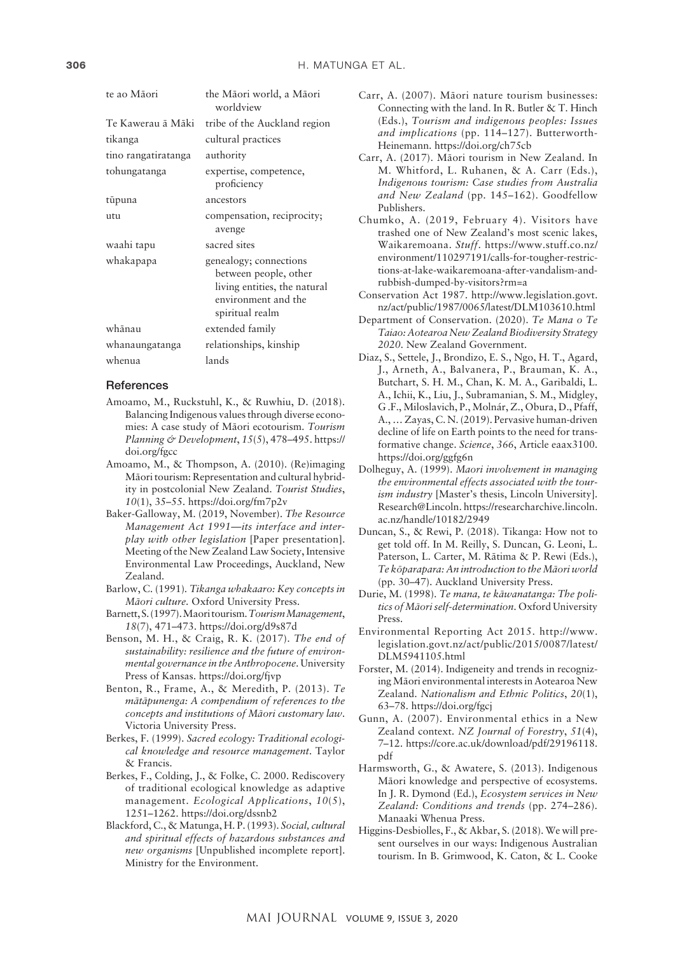| te ao Māori         | the Māori world, a Māori<br>worldview                                                                                     |
|---------------------|---------------------------------------------------------------------------------------------------------------------------|
| Te Kawerau ā Māki - | tribe of the Auckland region                                                                                              |
| tikanga             | cultural practices                                                                                                        |
| tino rangatiratanga | authority                                                                                                                 |
| tohungatanga        | expertise, competence,<br>proficiency                                                                                     |
| tūpuna              | ancestors                                                                                                                 |
| utu                 | compensation, reciprocity;<br>avenge                                                                                      |
| waahi tapu          | sacred sites                                                                                                              |
| whakapapa           | genealogy; connections<br>between people, other<br>living entities, the natural<br>environment and the<br>spiritual realm |
| whānau              | extended family                                                                                                           |
| whanaungatanga      | relationships, kinship                                                                                                    |
| whenua              | lands                                                                                                                     |

#### **References**

- Amoamo, M., Ruckstuhl, K., & Ruwhiu, D. (2018). Balancing Indigenous values through diverse economies: A case study of Mäori ecotourism. *Tourism Planning & Development*, *15*(5), 478–495. [https://](https://doi.org/fgcc) [doi.org/fgcc](https://doi.org/fgcc)
- Amoamo, M., & Thompson, A. (2010). (Re)imaging Mäori tourism: Representation and cultural hybridity in postcolonial New Zealand. *Tourist Studies*, *10*(1), 35–55.<https://doi.org/fm7p2v>
- Baker-Galloway, M. (2019, November). *The Resource Management Act 1991—its interface and interplay with other legislation* [Paper presentation]. Meeting of the New Zealand Law Society, Intensive Environmental Law Proceedings, Auckland, New Zealand.
- Barlow, C. (1991)*. Tikanga whakaaro: Key concepts in Mäori culture.* Oxford University Press.
- Barnett, S. (1997). Maori tourism. *Tourism Management*, *18*(7), 471–473.<https://doi.org/d9s87d>
- Benson, M. H., & Craig, R. K. (2017). *The end of sustainability: resilience and the future of environmental governance in the Anthropocene*. University Press of Kansas. <https://doi.org/fjvp>
- Benton, R., Frame, A., & Meredith, P. (2013). *Te mätäpunenga: A compendium of references to the concepts and institutions of Mäori customary law*. Victoria University Press.
- Berkes, F. (1999). *Sacred ecology: Traditional ecological knowledge and resource management*. Taylor & Francis.
- Berkes, F., Colding, J., & Folke, C. 2000. Rediscovery of traditional ecological knowledge as adaptive management. *Ecological Applications*, *10*(5), 1251–1262.<https://doi.org/dssnb2>
- Blackford, C., & Matunga, H. P. (1993). *Social, cultural and spiritual effects of hazardous substances and new organisms* [Unpublished incomplete report]. Ministry for the Environment.
- Carr, A. (2007). Mäori nature tourism businesses: Connecting with the land. In R. Butler & T. Hinch (Eds.), *Tourism and indigenous peoples: Issues and implications* (pp. 114–127). Butterworth-Heinemann.<https://doi.org/ch75cb>
- Carr, A. (2017). Mäori tourism in New Zealand. In M. Whitford, L. Ruhanen, & A. Carr (Eds.), *Indigenous tourism: Case studies from Australia and New Zealand* (pp. 145–162). Goodfellow Publishers.
- Chumko, A. (2019, February 4). Visitors have trashed one of New Zealand's most scenic lakes, Waikaremoana. *Stuff*. [https://www.stuff.co.nz/](https://www.stuff.co.nz/environment/110297191/calls-for-tougher-restrictions-at-lake-waikaremoana-after-vandalism-and-rubbish-dumped-by-visitors?rm=a) [environment/110297191/calls-for-tougher-restric](https://www.stuff.co.nz/environment/110297191/calls-for-tougher-restrictions-at-lake-waikaremoana-after-vandalism-and-rubbish-dumped-by-visitors?rm=a)[tions-at-lake-waikaremoana-after-vandalism-and](https://www.stuff.co.nz/environment/110297191/calls-for-tougher-restrictions-at-lake-waikaremoana-after-vandalism-and-rubbish-dumped-by-visitors?rm=a)[rubbish-dumped-by-visitors?rm=a](https://www.stuff.co.nz/environment/110297191/calls-for-tougher-restrictions-at-lake-waikaremoana-after-vandalism-and-rubbish-dumped-by-visitors?rm=a)
- Conservation Act 1987. [http://www.legislation.govt.](http://www.legislation.govt.nz/act/public/1987/0065/latest/DLM103610.html) [nz/act/public/1987/0065/latest/DLM103610.html](http://www.legislation.govt.nz/act/public/1987/0065/latest/DLM103610.html)
- Department of Conservation. (2020). *Te Mana o Te Taiao: Aotearoa New Zealand Biodiversity Strategy 2020*. New Zealand Government.
- Diaz, S., Settele, J., Brondizo, E. S., Ngo, H. T., Agard, J., Arneth, A., Balvanera, P., Brauman, K. A., Butchart, S. H. M., Chan, K. M. A., Garibaldi, L. A., Ichii, K., Liu, J., Subramanian, S. M., Midgley, G .F., Miloslavich, P., Molnár, Z., Obura, D., Pfaff, A., … Zayas, C. N. (2019). Pervasive human-driven decline of life on Earth points to the need for transformative change. *Science*, *366*, Article eaax3100. <https://doi.org/ggfg6n>
- Dolheguy, A. (1999). *Maori involvement in managing the environmental effects associated with the tourism industry* [Master's thesis, Lincoln University]. Research@Lincoln. [https://researcharchive.lincoln.](https://researcharchive.lincoln.ac.nz/handle/10182/2949) [ac.nz/handle/10182/2949](https://researcharchive.lincoln.ac.nz/handle/10182/2949)
- Duncan, S., & Rewi, P. (2018). Tikanga: How not to get told off. In M. Reilly, S. Duncan, G. Leoni, L. Paterson, L. Carter, M. Rätima & P. Rewi (Eds.), *Te köparapara: An introduction to the Mäori world* (pp. 30–47). Auckland University Press.
- Durie, M. (1998). *Te mana, te käwanatanga: The politics of Mäori self-determination*. Oxford University Press.
- Environmental Reporting Act 2015. [http://www.](http://www.legislation.govt.nz/act/public/2015/0087/latest/DLM5941105.html) [legislation.govt.nz/act/public/2015/0087/latest/](http://www.legislation.govt.nz/act/public/2015/0087/latest/DLM5941105.html) [DLM5941105.html](http://www.legislation.govt.nz/act/public/2015/0087/latest/DLM5941105.html)
- Forster, M. (2014). Indigeneity and trends in recognizing Mäori environmental interests in Aotearoa New Zealand. *Nationalism and Ethnic Politics*, *20*(1), 63–78. <https://doi.org/fgcj>
- Gunn, A. (2007). Environmental ethics in a New Zealand context. *NZ Journal of Forestry*, *51*(4), 7–12. [https://core.ac.uk/download/pdf/29196118.](https://core.ac.uk/download/pdf/29196118.pdf) [pdf](https://core.ac.uk/download/pdf/29196118.pdf)
- Harmsworth, G., & Awatere, S. (2013). Indigenous Mäori knowledge and perspective of ecosystems. In J. R. Dymond (Ed.), *Ecosystem services in New Zealand: Conditions and trends* (pp. 274–286). Manaaki Whenua Press.
- Higgins-Desbiolles, F., & Akbar, S. (2018). We will present ourselves in our ways: Indigenous Australian tourism. In B. Grimwood, K. Caton, & L. Cooke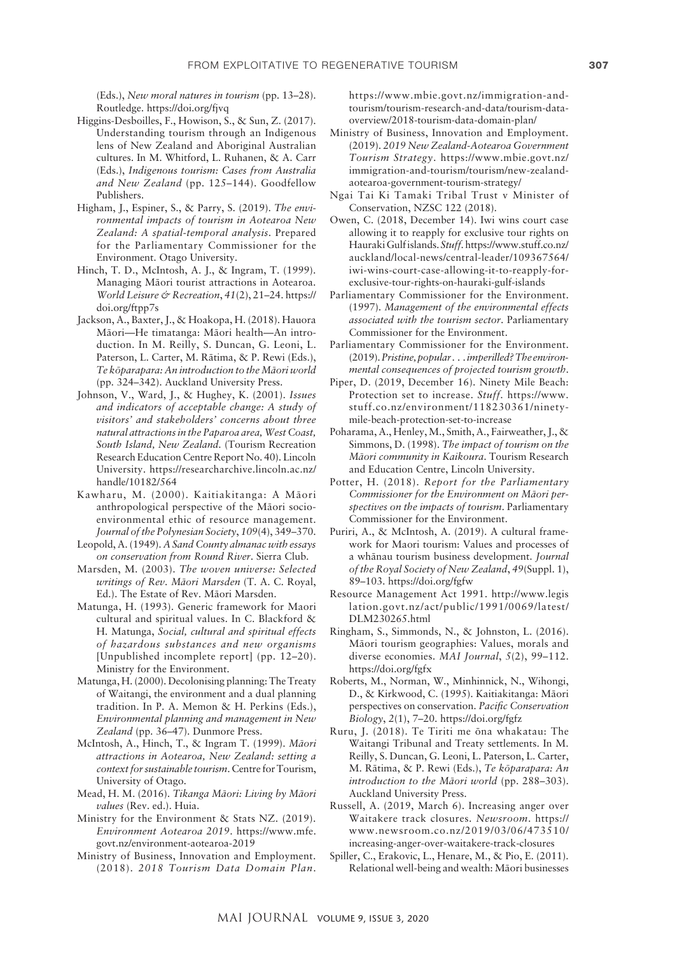(Eds.), *New moral natures in tourism* (pp. 13–28). Routledge. <https://doi.org/fjvq>

- Higgins-Desboilles, F., Howison, S., & Sun, Z. (2017). Understanding tourism through an Indigenous lens of New Zealand and Aboriginal Australian cultures. In M. Whitford, L. Ruhanen, & A. Carr (Eds.), *Indigenous tourism: Cases from Australia and New Zealand* (pp. 125–144). Goodfellow Publishers.
- Higham, J., Espiner, S., & Parry, S. (2019). *The environmental impacts of tourism in Aotearoa New Zealand: A spatial-temporal analysis*. Prepared for the Parliamentary Commissioner for the Environment. Otago University.
- Hinch, T. D., McIntosh, A. J., & Ingram, T. (1999). Managing Mäori tourist attractions in Aotearoa. *World Leisure & Recreation*, *41*(2), 21–24. [https://](https://doi.org/ftpp7s) [doi.org/ftpp7s](https://doi.org/ftpp7s)
- Jackson, A., Baxter, J., & Hoakopa, H. (2018). Hauora Mäori—He timatanga: Mäori health—An introduction. In M. Reilly, S. Duncan, G. Leoni, L. Paterson, L. Carter, M. Rätima, & P. Rewi (Eds.), *Te köparapara: An introduction to the Mäori world* (pp. 324–342). Auckland University Press.
- Johnson, V., Ward, J., & Hughey, K. (2001). *Issues and indicators of acceptable change: A study of visitors' and stakeholders' concerns about three natural attractions in the Paparoa area, West Coast, South Island, New Zealand.* (Tourism Recreation Research Education Centre Report No. 40). Lincoln University. [https://researcharchive.lincoln.ac.nz/](https://researcharchive.lincoln.ac.nz/handle/10182/564) [handle/10182/564](https://researcharchive.lincoln.ac.nz/handle/10182/564)
- Kawharu, M. (2000). Kaitiakitanga: A Mäori anthropological perspective of the Mäori socioenvironmental ethic of resource management. *Journal of the Polynesian Society*, *109*(4), 349–370.
- Leopold, A. (1949). *A Sand County almanac with essays on conservation from Round River*. Sierra Club.
- Marsden, M. (2003). *The woven universe: Selected writings of Rev. Mäori Marsden* (T. A. C. Royal, Ed.). The Estate of Rev. Mäori Marsden.
- Matunga, H. (1993). Generic framework for Maori cultural and spiritual values. In C. Blackford & H. Matunga, *Social, cultural and spiritual effects of hazardous substances and new organisms* [Unpublished incomplete report] (pp. 12–20). Ministry for the Environment.
- Matunga, H. (2000). Decolonising planning: The Treaty of Waitangi, the environment and a dual planning tradition. In P. A. Memon & H. Perkins (Eds.), *Environmental planning and management in New Zealand* (pp. 36–47). Dunmore Press.
- McIntosh, A., Hinch, T., & Ingram T. (1999). *Mäori attractions in Aotearoa, New Zealand: setting a context for sustainable tourism*. Centre for Tourism, University of Otago.
- Mead, H. M. (2016). *Tikanga Mäori: Living by Mäori values* (Rev. ed.). Huia.
- Ministry for the Environment & Stats NZ. (2019). *Environment Aotearoa 2019*. [https://www.mfe.](https://www.mfe.govt.nz/environment-aotearoa-2019) [govt.nz/environment-aotearoa-2019](https://www.mfe.govt.nz/environment-aotearoa-2019)
- Ministry of Business, Innovation and Employment. (2018). *2018 Tourism Data Domain Plan*.

[https://www.mbie.govt.nz/immigration-and](https://www.mbie.govt.nz/immigration-and-tourism/tourism-research-and-data/tourism-data-overview/2018-tourism-data-domain-plan/)[tourism/tourism-research-and-data/tourism-data](https://www.mbie.govt.nz/immigration-and-tourism/tourism-research-and-data/tourism-data-overview/2018-tourism-data-domain-plan/)[overview/2018-tourism-data-domain-plan/](https://www.mbie.govt.nz/immigration-and-tourism/tourism-research-and-data/tourism-data-overview/2018-tourism-data-domain-plan/)

- Ministry of Business, Innovation and Employment. (2019). *2019 New Zealand-Aotearoa Government Tourism Strategy*. [https://www.mbie.govt.nz/](https://www.mbie.govt.nz/immigration-and-tourism/tourism/new-zealand-aotearoa-government-tourism-strategy/) [immigration-and-tourism/tourism/new-zealand](https://www.mbie.govt.nz/immigration-and-tourism/tourism/new-zealand-aotearoa-government-tourism-strategy/)[aotearoa-government-tourism-strategy/](https://www.mbie.govt.nz/immigration-and-tourism/tourism/new-zealand-aotearoa-government-tourism-strategy/)
- Ngai Tai Ki Tamaki Tribal Trust v Minister of Conservation, NZSC 122 (2018).
- Owen, C. (2018, December 14). Iwi wins court case allowing it to reapply for exclusive tour rights on Hauraki Gulf islands. *Stuff.* [https://www.stuff.co.nz/](https://www.stuff.co.nz/auckland/local-news/central-leader/109367564/iwi-wins-court-case-allowing-it-to-reapply-for-exclusive-tour-rights-on-hauraki-gulf-islands) [auckland/local-news/central-leader/109367564/](https://www.stuff.co.nz/auckland/local-news/central-leader/109367564/iwi-wins-court-case-allowing-it-to-reapply-for-exclusive-tour-rights-on-hauraki-gulf-islands) [iwi-wins-court-case-allowing-it-to-reapply-for](https://www.stuff.co.nz/auckland/local-news/central-leader/109367564/iwi-wins-court-case-allowing-it-to-reapply-for-exclusive-tour-rights-on-hauraki-gulf-islands)[exclusive-tour-rights-on-hauraki-gulf-islands](https://www.stuff.co.nz/auckland/local-news/central-leader/109367564/iwi-wins-court-case-allowing-it-to-reapply-for-exclusive-tour-rights-on-hauraki-gulf-islands)
- Parliamentary Commissioner for the Environment. (1997). *Management of the environmental effects associated with the tourism sector*. Parliamentary Commissioner for the Environment.
- Parliamentary Commissioner for the Environment. (2019). *Pristine, popular . . . imperilled? The environmental consequences of projected tourism growth*.
- Piper, D. (2019, December 16). Ninety Mile Beach: Protection set to increase. *Stuff*. [https://www.](https://www.stuff.co.nz/environment/118230361/ninety-mile-beach-protection-set-to-increase) [stuff.co.nz/environment/118230361/ninety](https://www.stuff.co.nz/environment/118230361/ninety-mile-beach-protection-set-to-increase)[mile-beach-protection-set-to-increase](https://www.stuff.co.nz/environment/118230361/ninety-mile-beach-protection-set-to-increase)
- Poharama, A., Henley, M., Smith, A., Fairweather, J., & Simmons, D. (1998). *The impact of tourism on the Mäori community in Kaikoura*. Tourism Research and Education Centre, Lincoln University.
- Potter, H. (2018). *Report for the Parliamentary Commissioner for the Environment on Mäori perspectives on the impacts of tourism*. Parliamentary Commissioner for the Environment.
- Puriri, A., & McIntosh, A. (2019). A cultural framework for Maori tourism: Values and processes of a whänau tourism business development. *Journal of the Royal Society of New Zealand*, *49*(Suppl. 1), 89–103.<https://doi.org/fgfw>
- Resource Management Act 1991. [http://www.legis](http://www.legislation.govt.nz/act/public/1991/0069/latest/DLM230265.html) [lation.govt.nz/act/public/1991/0069/latest/](http://www.legislation.govt.nz/act/public/1991/0069/latest/DLM230265.html) [DLM230265.html](http://www.legislation.govt.nz/act/public/1991/0069/latest/DLM230265.html)
- Ringham, S., Simmonds, N., & Johnston, L. (2016). Mäori tourism geographies: Values, morals and diverse economies. *MAI Journal*, *5*(2), 99–112. <https://doi.org/fgfx>
- Roberts, M., Norman, W., Minhinnick, N., Wihongi, D., & Kirkwood, C. (1995). Kaitiakitanga: Mäori perspectives on conservation. *Pacific Conservation Biology*, *2*(1), 7–20.<https://doi.org/fgfz>
- Ruru, J. (2018). Te Tiriti me öna whakatau: The Waitangi Tribunal and Treaty settlements. In M. Reilly, S. Duncan, G. Leoni, L. Paterson, L. Carter, M. Rätima, & P. Rewi (Eds.), *Te köparapara: An introduction to the Mäori world* (pp. 288–303). Auckland University Press.
- Russell, A. (2019, March 6). Increasing anger over Waitakere track closures. *Newsroom*. [https://](https://www.newsroom.co.nz/2019/03/06/473510/increasing-anger-over-waitakere-track-closures) [www.newsroom.co.nz/2019/03/06/473510/](https://www.newsroom.co.nz/2019/03/06/473510/increasing-anger-over-waitakere-track-closures) [increasing-anger-over-waitakere-track-closures](https://www.newsroom.co.nz/2019/03/06/473510/increasing-anger-over-waitakere-track-closures)
- Spiller, C., Erakovic, L., Henare, M., & Pio, E. (2011). Relational well-being and wealth: Mäori businesses